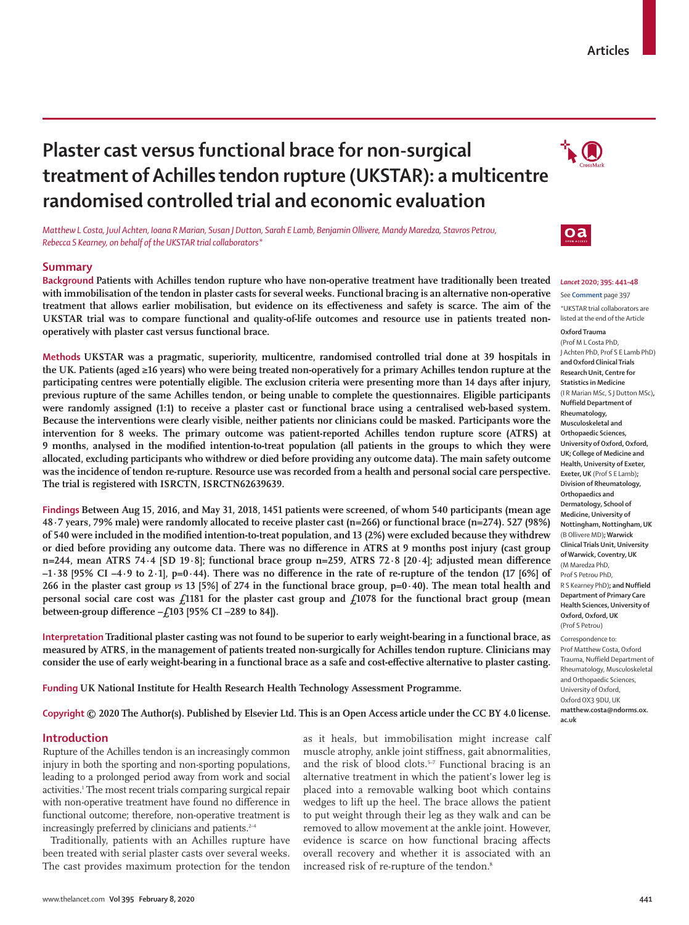# **Plaster cast versus functional brace for non-surgical treatment of Achilles tendon rupture (UKSTAR): a multicentre randomised controlled trial and economic evaluation**

*Matthew L Costa, Juul Achten, Ioana R Marian, Susan J Dutton, Sarah E Lamb, Benjamin Ollivere, Mandy Maredza, Stavros Petrou, Rebecca S Kearney, on behalf of the UKSTAR trial collaborators\**

# **Summary**

**Background Patients with Achilles tendon rupture who have non-operative treatment have traditionally been treated with immobilisation of the tendon in plaster casts for several weeks. Functional bracing is an alternative non-operative treatment that allows earlier mobilisation, but evidence on its effectiveness and safety is scarce. The aim of the**  UKSTAR trial was to compare functional and quality-of-life outcomes and resource use in patients treated non**operatively with plaster cast versus functional brace.**

**Methods UKSTAR was a pragmatic, superiority, multicentre, randomised controlled trial done at 39 hospitals in the UK. Patients (aged ≥16 years) who were being treated non-operatively for a primary Achilles tendon rupture at the participating centres were potentially eligible. The exclusion criteria were presenting more than 14 days after injury, previous rupture of the same Achilles tendon, or being unable to complete the questionnaires. Eligible participants were randomly assigned (1:1) to receive a plaster cast or functional brace using a centralised web-based system. Because the interventions were clearly visible, neither patients nor clinicians could be masked. Participants wore the intervention for 8 weeks. The primary outcome was patient-reported Achilles tendon rupture score (ATRS) at 9 months, analysed in the modified intention-to-treat population (all patients in the groups to which they were allocated, excluding participants who withdrew or died before providing any outcome data). The main safety outcome was the incidence of tendon re-rupture. Resource use was recorded from a health and personal social care perspective. The trial is registered with ISRCTN, ISRCTN62639639.**

**Findings Between Aug 15, 2016, and May 31, 2018, 1451 patients were screened, of whom 540 participants (mean age 48·7 years, 79% male) were randomly allocated to receive plaster cast (n=266) or functional brace (n=274). 527 (98%) of 540 were included in the modified intention-to-treat population, and 13 (2%) were excluded because they withdrew or died before providing any outcome data. There was no difference in ATRS at 9 months post injury (cast group n=244, mean ATRS 74∙4 [SD 19∙8]; functional brace group n=259, ATRS 72∙8 [20∙4]; adjusted mean difference –1∙38 [95% CI –4∙9 to 2∙1], p=0·44). There was no difference in the rate of re-rupture of the tendon (17 [6%] of 266 in the plaster cast group** *vs* **13 [5%] of 274 in the functional brace group, p=0·40). The mean total health and personal social care cost was £1181 for the plaster cast group and £1078 for the functional bract group (mean between-group difference –£103 [95% CI –289 to 84]).**

**Interpretation Traditional plaster casting was not found to be superior to early weight-bearing in a functional brace, as measured by ATRS, in the management of patients treated non-surgically for Achilles tendon rupture. Clinicians may consider the use of early weight-bearing in a functional brace as a safe and cost-effective alternative to plaster casting.**

**Funding UK National Institute for Health Research Health Technology Assessment Programme.**

**Copyright © 2020 The Author(s). Published by Elsevier Ltd. This is an Open Access article under the CC BY 4.0 license.**

## **Introduction**

Rupture of the Achilles tendon is an increasingly common injury in both the sporting and non-sporting populations, leading to a prolonged period away from work and social activities.<sup>1</sup> The most recent trials comparing surgical repair with non-operative treatment have found no diference in functional outcome; therefore, non-operative treatment is increasingly preferred by clinicians and patients.<sup>2-4</sup>

Traditionally, patients with an Achilles rupture have been treated with serial plaster casts over several weeks. The cast provides maximum protection for the tendon as it heals, but immobilisation might increase calf muscle atrophy, ankle joint stiffness, gait abnormalities, and the risk of blood clots.<sup>5-7</sup> Functional bracing is an alternative treatment in which the patient's lower leg is placed into a removable walking boot which contains wedges to lift up the heel. The brace allows the patient to put weight through their leg as they walk and can be removed to allow movement at the ankle joint. However, evidence is scarce on how functional bracing affects overall recovery and whether it is associated with an increased risk of re-rupture of the tendon.<sup>8</sup>



 $\mathbf{a}$ 



*Lancet* **2020; 395: 441–48**

See **Comment** page 397 \*UKSTAR trial collaborators are listed at the end of the Article

**Oxford Trauma** (Prof M L Costa PhD, J Achten PhD, Prof S E Lamb PhD) **and Oxford Clinical Trials Research Unit, Centre for Statistics in Medicine** (I R Marian MSc, S J Dutton MSc)**, Nuffield Department of Rheumatology, Musculoskeletal and Orthopaedic Sciences, University of Oxford, Oxford, UK; College of Medicine and Health, University of Exeter, Exeter, UK** (Prof S E Lamb)**; Division of Rheumatology, Orthopaedics and Dermatology, School of Medicine, University of Nottingham, Nottingham, UK** (B Ollivere MD)**; Warwick Clinical Trials Unit, University of Warwick, Coventry, UK** (M Maredza PhD, Prof S Petrou PhD, R S Kearney PhD)**; and Nuffield Department of Primary Care Health Sciences, University of Oxford, Oxford, UK**  (Prof S Petrou)

Correspondence to: Prof Matthew Costa, Oxford Trauma, Nuffield Department of Rheumatology, Musculoskeletal and Orthopaedic Sciences, University of Oxford, Oxford OX3 9DU, UK **matthew.costa@ndorms.ox. ac.uk**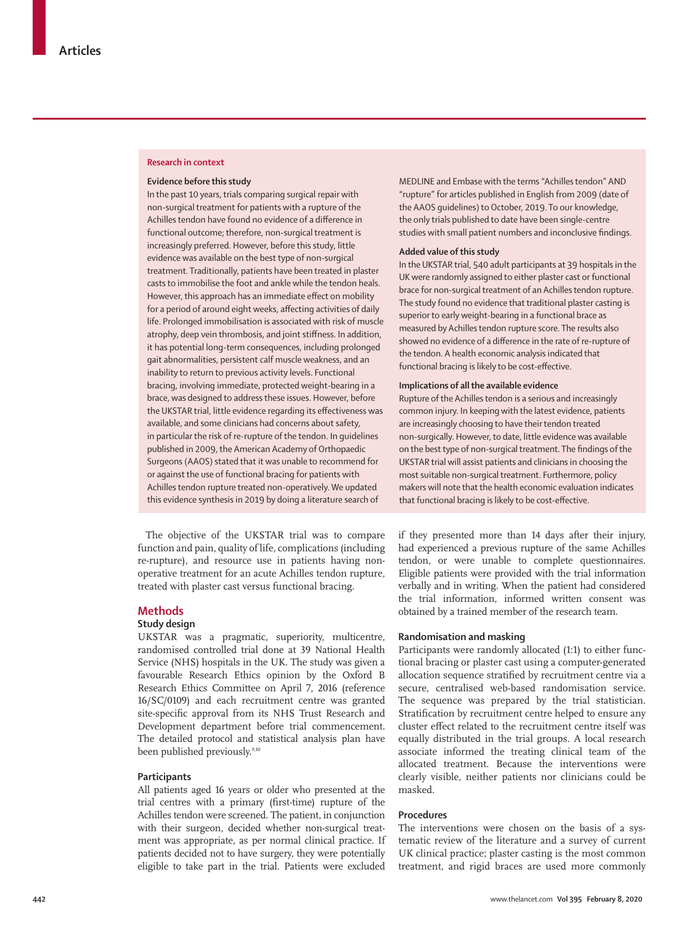## **Research in context**

#### **Evidence before this study**

In the past 10 years, trials comparing surgical repair with non-surgical treatment for patients with a rupture of the Achilles tendon have found no evidence of a difference in functional outcome; therefore, non-surgical treatment is increasingly preferred. However, before this study, little evidence was available on the best type of non-surgical treatment. Traditionally, patients have been treated in plaster casts to immobilise the foot and ankle while the tendon heals. However, this approach has an immediate effect on mobility for a period of around eight weeks, affecting activities of daily life. Prolonged immobilisation is associated with risk of muscle atrophy, deep vein thrombosis, and joint stiffness. In addition, it has potential long-term consequences, including prolonged gait abnormalities, persistent calf muscle weakness, and an inability to return to previous activity levels. Functional bracing, involving immediate, protected weight-bearing in a brace, was designed to address these issues. However, before the UKSTAR trial, little evidence regarding its effectiveness was available, and some clinicians had concerns about safety, in particular the risk of re-rupture of the tendon. In guidelines published in 2009, the American Academy of Orthopaedic Surgeons (AAOS) stated that it was unable to recommend for or against the use of functional bracing for patients with Achilles tendon rupture treated non-operatively. We updated this evidence synthesis in 2019 by doing a literature search of

The objective of the UKSTAR trial was to compare function and pain, quality of life, complications (including re-rupture), and resource use in patients having nonoperative treatment for an acute Achilles tendon rupture, treated with plaster cast versus functional bracing.

# **Methods**

# **Study design**

UKSTAR was a pragmatic, superiority, multicentre, randomised controlled trial done at 39 National Health Service (NHS) hospitals in the UK. The study was given a favourable Research Ethics opinion by the Oxford B Research Ethics Committee on April 7, 2016 (reference 16/SC/0109) and each recruitment centre was granted site-specific approval from its NHS Trust Research and Development department before trial commencement. The detailed protocol and statistical analysis plan have been published previously.<sup>9,10</sup>

## **Participants**

All patients aged 16 years or older who presented at the trial centres with a primary (first-time) rupture of the Achilles tendon were screened. The patient, in conjunction with their surgeon, decided whether non-surgical treatment was appropriate, as per normal clinical practice. If patients decided not to have surgery, they were potentially eligible to take part in the trial. Patients were excluded

MEDLINE and Embase with the terms "Achilles tendon" AND "rupture" for articles published in English from 2009 (date of the AAOS guidelines) to October, 2019. To our knowledge, the only trials published to date have been single-centre studies with small patient numbers and inconclusive findings.

#### **Added value of this study**

In the UKSTAR trial, 540 adult participants at 39 hospitals in the UK were randomly assigned to either plaster cast or functional brace for non-surgical treatment of an Achilles tendon rupture. The study found no evidence that traditional plaster casting is superior to early weight-bearing in a functional brace as measured by Achilles tendon rupture score. The results also showed no evidence of a difference in the rate of re-rupture of the tendon. A health economic analysis indicated that functional bracing is likely to be cost-effective.

# **Implications of all the available evidence**

Rupture of the Achilles tendon is a serious and increasingly common injury. In keeping with the latest evidence, patients are increasingly choosing to have their tendon treated non-surgically. However, to date, little evidence was available on the best type of non-surgical treatment. The findings of the UKSTAR trial will assist patients and clinicians in choosing the most suitable non-surgical treatment. Furthermore, policy makers will note that the health economic evaluation indicates that functional bracing is likely to be cost-effective.

if they presented more than 14 days after their injury, had experienced a previous rupture of the same Achilles tendon, or were unable to complete questionnaires. Eligible patients were provided with the trial information verbally and in writing. When the patient had considered the trial information, informed written consent was obtained by a trained member of the research team.

## **Randomisation and masking**

Participants were randomly allocated (1:1) to either functional bracing or plaster cast using a computer-generated allocation sequence stratified by recruitment centre via a secure, centralised web-based randomisation service. The sequence was prepared by the trial statistician. Stratification by recruitment centre helped to ensure any cluster effect related to the recruitment centre itself was equally distributed in the trial groups. A local research associate informed the treating clinical team of the allocated treatment. Because the interventions were clearly visible, neither patients nor clinicians could be masked.

# **Procedures**

The interventions were chosen on the basis of a systematic review of the literature and a survey of current UK clinical practice; plaster casting is the most common treatment, and rigid braces are used more commonly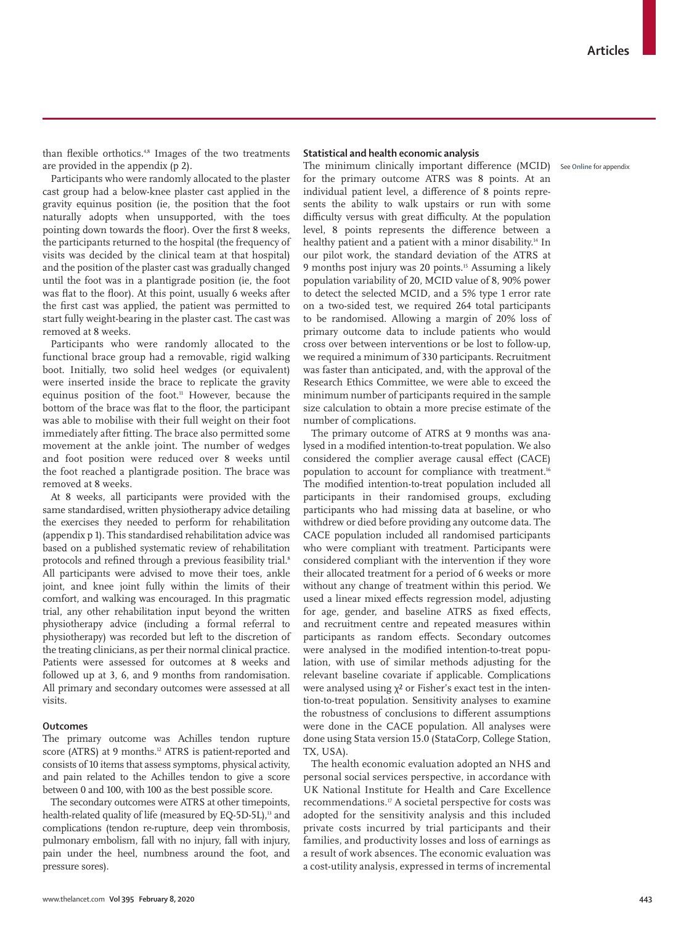than flexible orthotics.<sup>4,8</sup> Images of the two treatments are provided in the appendix (p 2).

Participants who were randomly allocated to the plaster cast group had a below-knee plaster cast applied in the gravity equinus position (ie, the position that the foot naturally adopts when unsupported, with the toes pointing down towards the floor). Over the first 8 weeks, the participants returned to the hospital (the frequency of visits was decided by the clinical team at that hospital) and the position of the plaster cast was gradually changed until the foot was in a plantigrade position (ie, the foot was flat to the floor). At this point, usually 6 weeks after the first cast was applied, the patient was permitted to start fully weight-bearing in the plaster cast. The cast was removed at 8 weeks.

Participants who were randomly allocated to the functional brace group had a removable, rigid walking boot. Initially, two solid heel wedges (or equivalent) were inserted inside the brace to replicate the gravity equinus position of the foot.<sup>11</sup> However, because the bottom of the brace was flat to the floor, the participant was able to mobilise with their full weight on their foot immediately after fitting. The brace also permitted some movement at the ankle joint. The number of wedges and foot position were reduced over 8 weeks until the foot reached a plantigrade position. The brace was removed at 8 weeks.

At 8 weeks, all participants were provided with the same standardised, written physiotherapy advice detailing the exercises they needed to perform for rehabilitation (appendix p 1). This standardised rehabilitation advice was based on a published systematic review of rehabilitation protocols and refined through a previous feasibility trial.<sup>8</sup> All participants were advised to move their toes, ankle joint, and knee joint fully within the limits of their comfort, and walking was encouraged. In this pragmatic trial, any other rehabilitation input beyond the written physiotherapy advice (including a formal referral to physiotherapy) was recorded but left to the discretion of the treating clinicians, as per their normal clinical practice. Patients were assessed for outcomes at 8 weeks and followed up at 3, 6, and 9 months from randomisation. All primary and secondary outcomes were assessed at all visits.

# **Outcomes**

The primary outcome was Achilles tendon rupture score (ATRS) at 9 months.<sup>12</sup> ATRS is patient-reported and consists of 10 items that assess symptoms, physical activity, and pain related to the Achilles tendon to give a score between 0 and 100, with 100 as the best possible score.

The secondary outcomes were ATRS at other timepoints, health-related quality of life (measured by EQ-5D-5L),<sup>13</sup> and complications (tendon re-rupture, deep vein thrombosis, pulmonary embolism, fall with no injury, fall with injury, pain under the heel, numbness around the foot, and pressure sores).

# **Statistical and health economic analysis**

The minimum clinically important difference (MCID) See **Online** for appendixfor the primary outcome ATRS was 8 points. At an individual patient level, a difference of 8 points represents the ability to walk upstairs or run with some difficulty versus with great difficulty. At the population level, 8 points represents the difference between a healthy patient and a patient with a minor disability.<sup>14</sup> In our pilot work, the standard deviation of the ATRS at 9 months post injury was 20 points.15 Assuming a likely population variability of 20, MCID value of 8, 90% power to detect the selected MCID, and a 5% type 1 error rate on a two-sided test, we required 264 total participants to be randomised. Allowing a margin of 20% loss of primary outcome data to include patients who would cross over between interventions or be lost to follow-up, we required a minimum of 330 participants. Recruitment was faster than anticipated, and, with the approval of the Research Ethics Committee, we were able to exceed the minimum number of participants required in the sample size calculation to obtain a more precise estimate of the number of complications.

The primary outcome of ATRS at 9 months was analysed in a modified intention-to-treat population. We also considered the complier average causal effect (CACE) population to account for compliance with treatment.<sup>16</sup> The modified intention-to-treat population included all participants in their randomised groups, excluding participants who had missing data at baseline, or who withdrew or died before providing any outcome data. The CACE population included all randomised participants who were compliant with treatment. Participants were considered compliant with the intervention if they wore their allocated treatment for a period of 6 weeks or more without any change of treatment within this period. We used a linear mixed effects regression model, adjusting for age, gender, and baseline ATRS as fixed effects, and recruitment centre and repeated measures within participants as random effects. Secondary outcomes were analysed in the modified intention-to-treat population, with use of similar methods adjusting for the relevant baseline covariate if applicable. Complications were analysed using χ² or Fisher's exact test in the intention-to-treat population. Sensitivity analyses to examine the robustness of conclusions to different assumptions were done in the CACE population. All analyses were done using Stata version 15.0 (StataCorp, College Station, TX, USA).

The health economic evaluation adopted an NHS and personal social services perspective, in accordance with UK National Institute for Health and Care Excellence recommendations.<sup>17</sup> A societal perspective for costs was adopted for the sensitivity analysis and this included private costs incurred by trial participants and their families, and productivity losses and loss of earnings as a result of work absences. The economic evaluation was a cost-utility analysis, expressed in terms of incremental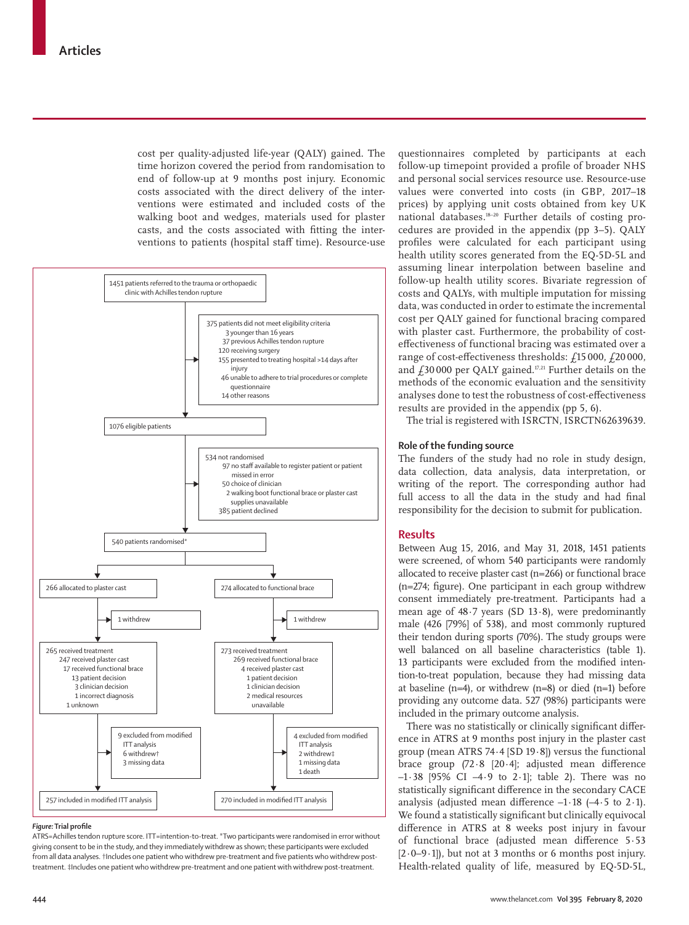cost per quality-adjusted life-year (QALY) gained. The time horizon covered the period from randomisation to end of follow-up at 9 months post injury. Economic costs associated with the direct delivery of the interventions were estimated and included costs of the walking boot and wedges, materials used for plaster casts, and the costs associated with fitting the interventions to patients (hospital staff time). Resource-use



#### *Figure:* **Trial profile**

ATRS=Achilles tendon rupture score. ITT=intention-to-treat. \*Two participants were randomised in error without giving consent to be in the study, and they immediately withdrew as shown; these participants were excluded from all data analyses. †Includes one patient who withdrew pre-treatment and five patients who withdrew posttreatment. ‡Includes one patient who withdrew pre-treatment and one patient with withdrew post-treatment.

questionnaires completed by participants at each follow-up timepoint provided a profile of broader NHS and personal social services resource use. Resource-use values were converted into costs (in GBP, 2017–18 prices) by applying unit costs obtained from key UK national databases.18–20 Further details of costing procedures are provided in the appendix (pp 3–5). QALY profiles were calculated for each participant using health utility scores generated from the EQ-5D-5L and assuming linear interpolation between baseline and follow-up health utility scores. Bivariate regression of costs and QALYs, with multiple imputation for missing data, was conducted in order to estimate the incremental cost per QALY gained for functional bracing compared with plaster cast. Furthermore, the probability of costeffectiveness of functional bracing was estimated over a range of cost-effectiveness thresholds: £15 000, £20 000, and  $f_2$ 30 000 per QALY gained.<sup>17,21</sup> Further details on the methods of the economic evaluation and the sensitivity analyses done to test the robustness of cost-effectiveness results are provided in the appendix (pp 5, 6).

The trial is registered with ISRCTN, ISRCTN62639639.

#### **Role of the funding source**

The funders of the study had no role in study design, data collection, data analysis, data interpretation, or writing of the report. The corresponding author had full access to all the data in the study and had final responsibility for the decision to submit for publication.

## **Results**

Between Aug 15, 2016, and May 31, 2018**,** 1451 patients were screened, of whom 540 participants were randomly allocated to receive plaster cast (n=266) or functional brace (n=274; figure). One participant in each group withdrew consent immediately pre-treatment. Participants had a mean age of 48∙7 years (SD 13·8), were predominantly male (426 [79%] of 538), and most commonly ruptured their tendon during sports (70%). The study groups were well balanced on all baseline characteristics (table 1). 13 participants were excluded from the modified intention-to-treat population, because they had missing data at baseline (n=4), or withdrew (n=8) or died (n=1) before providing any outcome data. 527 (98%) participants were included in the primary outcome analysis.

There was no statistically or clinically significant diference in ATRS at 9 months post injury in the plaster cast group (mean ATRS 74∙4 [SD 19∙8]) versus the functional brace group (72∙8 [20∙4]; adjusted mean difference –1∙38 [95% CI –4∙9 to 2∙1]; table 2). There was no statistically significant difference in the secondary CACE analysis (adjusted mean difference –1∙18 (–4∙5 to 2∙1). We found a statistically significant but clinically equivocal difference in ATRS at 8 weeks post injury in favour of functional brace (adjusted mean difference 5∙53 [2∙0–9∙1]), but not at 3 months or 6 months post injury. Health-related quality of life, measured by EQ-5D-5L,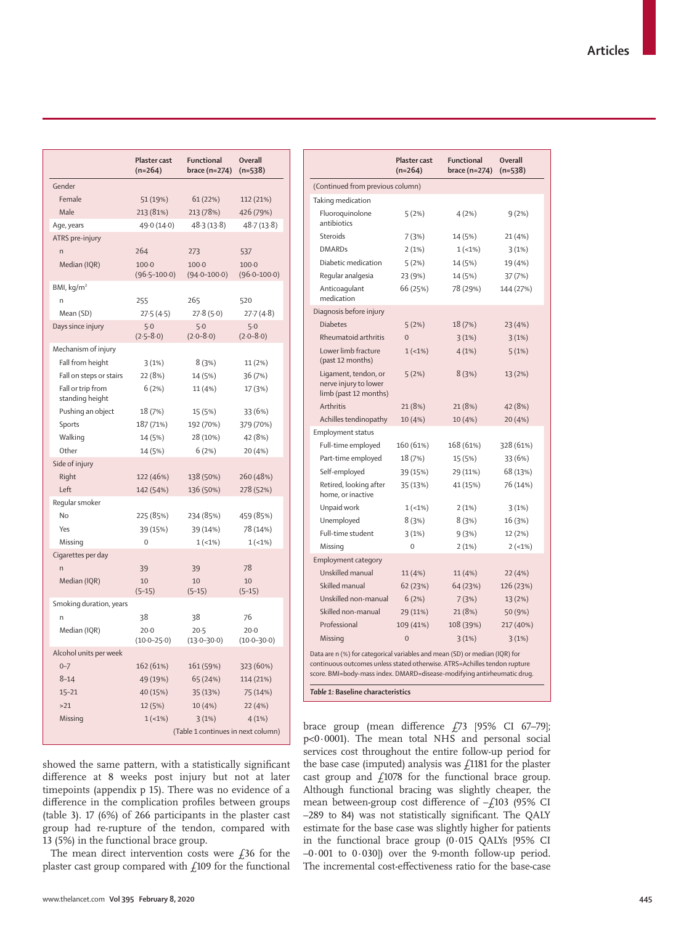|                                         | Plaster cast<br>$(n=264)$ | <b>Functional</b><br>brace (n=274) | <b>Overall</b><br>$(n=538)$ |
|-----------------------------------------|---------------------------|------------------------------------|-----------------------------|
| Gender                                  |                           |                                    |                             |
| Female                                  | 51 (19%)                  | 61(22%)                            | 112 (21%)                   |
| Male                                    | 213 (81%)                 | 213 (78%)                          | 426 (79%)                   |
| Age, years                              | 49.0 (14.0)               | 48.3(13.8)                         | 48.7(13.8)                  |
| ATRS pre-injury                         |                           |                                    |                             |
| n                                       | 264                       | 273                                | 537                         |
| Median (IQR)                            | $100 - 0$                 | $100 - 0$                          | $100 - 0$                   |
|                                         | $(96.5 - 100.0)$          | $(94.0 - 100.0)$                   | $(96.0 - 100.0)$            |
| BMI, $kg/m2$                            |                           |                                    |                             |
| h                                       | 255                       | 265                                | 520                         |
| Mean (SD)                               | 27.5(4.5)                 | 27.8(5.0)                          | 27.7(4.8)                   |
| Days since injury                       | $5-0$                     | $5-0$                              | $5-0$                       |
|                                         | $(2.5 - 8.0)$             | $(2.0 - 8.0)$                      | $(2.0 - 8.0)$               |
| Mechanism of injury<br>Fall from height |                           | 8(3%)                              |                             |
|                                         | 3(1%)                     |                                    | 11 (2%)                     |
| Fall on steps or stairs                 | 22 (8%)                   | 14 (5%)                            | 36 (7%)                     |
| Fall or trip from<br>standing height    | 6(2%)                     | 11 (4%)                            | 17 (3%)                     |
| Pushing an object                       | 18 (7%)                   | 15 (5%)                            | 33 (6%)                     |
| Sports                                  | 187 (71%)                 | 192 (70%)                          | 379 (70%)                   |
| Walking                                 | 14 (5%)                   | 28 (10%)                           | 42 (8%)                     |
| Other                                   | 14 (5%)                   | 6(2%)                              | 20 (4%)                     |
| Side of injury                          |                           |                                    |                             |
| Right                                   | 122 (46%)                 | 138 (50%)                          | 260 (48%)                   |
| Left                                    | 142 (54%)                 | 136 (50%)                          | 278 (52%)                   |
| Reqular smoker                          |                           |                                    |                             |
| No                                      | 225 (85%)                 | 234 (85%)                          | 459 (85%)                   |
| Yes                                     | 39 (15%)                  | 39 (14%)                           | 78 (14%)                    |
| Missing                                 | 0                         | $1(-1%)$                           | $1(-1%)$                    |
| Cigarettes per day                      |                           |                                    |                             |
| 'n                                      | 39                        | 39                                 | 78                          |
| Median (IQR)                            | 10                        | 10                                 | 10                          |
|                                         | $(5-15)$                  | $(5-15)$                           | $(5-15)$                    |
| Smoking duration, years                 |                           |                                    |                             |
| 'n                                      | 38                        | 38                                 | 76                          |
| Median (IQR)                            | $20-0$<br>$(10.0 - 25.0)$ | $20 - 5$<br>$(13.0 - 30.0)$        | $20-0$<br>$(10.0 - 30.0)$   |
| Alcohol units per week                  |                           |                                    |                             |
| $0 - 7$                                 | 162 (61%)                 | 161 (59%)                          | 323 (60%)                   |
| $8 - 14$                                | 49 (19%)                  | 65 (24%)                           | 114 (21%)                   |
| $15 - 21$                               | 40 (15%)                  | 35 (13%)                           | 75 (14%)                    |
| >21                                     | 12 (5%)                   | 10(4% )                            | 22(4%)                      |
| Missing                                 | $1(-1%)$                  | 3(1%)                              | 4(1%)                       |
|                                         |                           | (Table 1 continues in next column) |                             |

showed the same pattern, with a statistically significant difference at 8 weeks post injury but not at later timepoints (appendix p 15). There was no evidence of a difference in the complication profiles between groups (table 3). 17 (6%) of 266 participants in the plaster cast group had re-rupture of the tendon, compared with 13 (5%) in the functional brace group.

The mean direct intervention costs were  $f36$  for the plaster cast group compared with  $f_1$ 109 for the functional

|                                                                                                                                                                                                                                                                         | $(n=264)$      | <b>Functional</b><br>brace (n=274) | Overall<br>$(n=538)$ |  |  |
|-------------------------------------------------------------------------------------------------------------------------------------------------------------------------------------------------------------------------------------------------------------------------|----------------|------------------------------------|----------------------|--|--|
| (Continued from previous column)                                                                                                                                                                                                                                        |                |                                    |                      |  |  |
| Taking medication                                                                                                                                                                                                                                                       |                |                                    |                      |  |  |
| Fluoroquinolone<br>antibiotics                                                                                                                                                                                                                                          | 5(2%)          | 4(2%)                              | 9(2%)                |  |  |
| Steroids                                                                                                                                                                                                                                                                | 7(3%)          | 14 (5%)                            | 21 (4%)              |  |  |
| <b>DMARDs</b>                                                                                                                                                                                                                                                           | 2(1%)          | $1(-1%)$                           | 3(1%)                |  |  |
| Diabetic medication                                                                                                                                                                                                                                                     | 5(2%)          | 14 (5%)                            | 19 (4%)              |  |  |
| Regular analgesia                                                                                                                                                                                                                                                       | 23 (9%)        | 14 (5%)                            | 37 (7%)              |  |  |
| Anticoagulant<br>medication                                                                                                                                                                                                                                             | 66 (25%)       | 78 (29%)                           | 144 (27%)            |  |  |
| Diagnosis before injury                                                                                                                                                                                                                                                 |                |                                    |                      |  |  |
| <b>Diabetes</b>                                                                                                                                                                                                                                                         | 5(2%)          | 18 (7%)                            | 23 (4%)              |  |  |
| Rheumatoid arthritis                                                                                                                                                                                                                                                    | $\overline{0}$ | 3(1%)                              | 3(1%)                |  |  |
| Lower limb fracture<br>(past 12 months)                                                                                                                                                                                                                                 | $1(-1%)$       | 4(1%)                              | 5(1%)                |  |  |
| Ligament, tendon, or<br>nerve injury to lower<br>limb (past 12 months)                                                                                                                                                                                                  | 5(2%)          | 8(3%)                              | 13 (2%)              |  |  |
| Arthritis                                                                                                                                                                                                                                                               | 21 (8%)        | 21 (8%)                            | 42 (8%)              |  |  |
| Achilles tendinopathy                                                                                                                                                                                                                                                   | 10 (4%)        | 10 (4%)                            | 20 (4%)              |  |  |
| <b>Employment status</b>                                                                                                                                                                                                                                                |                |                                    |                      |  |  |
| Full-time employed                                                                                                                                                                                                                                                      | 160 (61%)      | 168 (61%)                          | 328 (61%)            |  |  |
| Part-time employed                                                                                                                                                                                                                                                      | 18 (7%)        | 15 (5%)                            | 33 (6%)              |  |  |
| Self-employed                                                                                                                                                                                                                                                           | 39 (15%)       | 29 (11%)                           | 68 (13%)             |  |  |
| Retired, looking after<br>home, or inactive                                                                                                                                                                                                                             | 35 (13%)       | 41 (15%)                           | 76 (14%)             |  |  |
| Unpaid work                                                                                                                                                                                                                                                             | $1(-1%)$       | 2(1%)                              | 3(1%)                |  |  |
| Unemployed                                                                                                                                                                                                                                                              | 8(3%)          | 8(3%)                              | 16 (3%)              |  |  |
| Full-time student                                                                                                                                                                                                                                                       | 3(1%)          | 9(3%)                              | 12 (2%)              |  |  |
| Missing                                                                                                                                                                                                                                                                 | $\Omega$       | 2(1%)                              | $2(-1%)$             |  |  |
| <b>Employment category</b>                                                                                                                                                                                                                                              |                |                                    |                      |  |  |
| Unskilled manual                                                                                                                                                                                                                                                        | 11 (4%)        | 11 (4%)                            | 22 (4%)              |  |  |
| Skilled manual                                                                                                                                                                                                                                                          | 62(23%)        | 64 (23%)                           | 126 (23%)            |  |  |
| Unskilled non-manual                                                                                                                                                                                                                                                    | 6(2%)          | 7(3%)                              | 13 (2%)              |  |  |
| Skilled non-manual                                                                                                                                                                                                                                                      | 29 (11%)       | 21 (8%)                            | 50 (9%)              |  |  |
| Professional                                                                                                                                                                                                                                                            | 109 (41%)      | 108 (39%)                          | 217 (40%)            |  |  |
| Missing                                                                                                                                                                                                                                                                 | $\overline{0}$ | 3(1%)                              | 3(1%)                |  |  |
| Data are n (%) for categorical variables and mean (SD) or median (IQR) for<br>continuous outcomes unless stated otherwise. ATRS=Achilles tendon rupture<br>score. BMI=body-mass index. DMARD=disease-modifying antirheumatic drug.<br>Table 1: Baseline characteristics |                |                                    |                      |  |  |

brace group (mean difference £73 [95% CI 67–79]; p<0·0001). The mean total NHS and personal social services cost throughout the entire follow-up period for the base case (imputed) analysis was  $\beta$ 1181 for the plaster cast group and  $f$ 1078 for the functional brace group. Although functional bracing was slightly cheaper, the mean between-group cost difference of  $-f103$  (95% CI –289 to 84) was not statistically significant. The QALY estimate for the base case was slightly higher for patients in the functional brace group (0∙015 QALYs [95% CI –0∙001 to 0∙030]) over the 9-month follow-up period. The incremental cost-effectiveness ratio for the base-case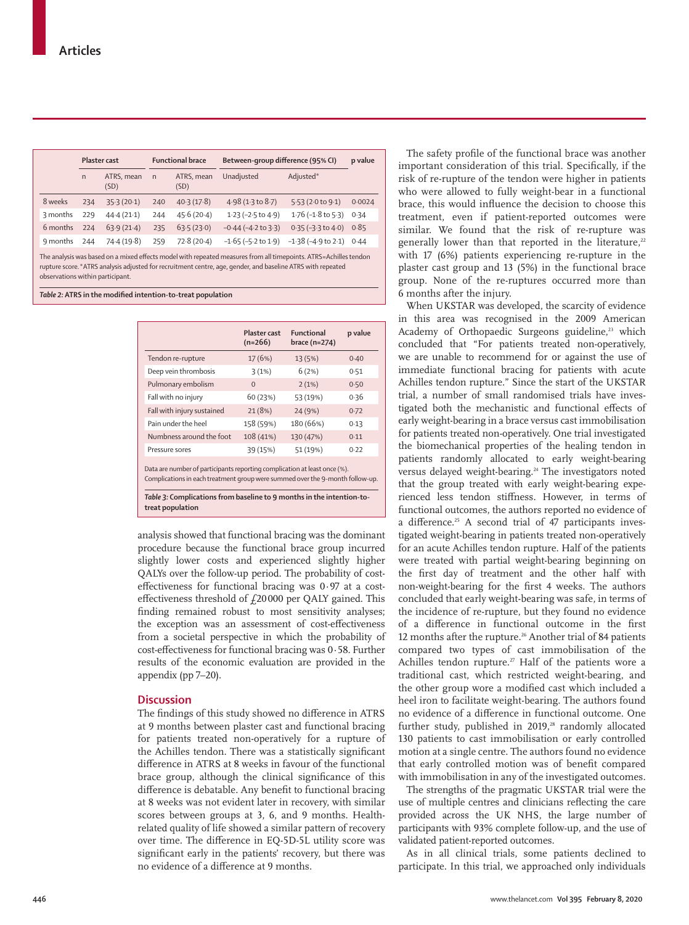|          |              | Plaster cast       |              | <b>Functional brace</b> | Between-group difference (95% CI) |                            | p value |
|----------|--------------|--------------------|--------------|-------------------------|-----------------------------------|----------------------------|---------|
|          | $\mathsf{n}$ | ATRS, mean<br>(SD) | $\mathsf{n}$ | ATRS, mean<br>(SD)      | Unadjusted                        | Adjusted*                  |         |
| 8 weeks  | 234          | 35.3(20.1)         | 240          | 40.3(17.8)              | $4.98(1.3 \text{ to } 8.7)$       | 5.53(2.0 to 9.1)           | 0.0024  |
| 3 months | 229          | 44.4(21.1)         | 244          | 45.6(20.4)              | $1.23$ (-2.5 to 4.9)              | $1.76$ ( $-1.8$ to $5.3$ ) | 0.34    |
| 6 months | 224          | 63.9(21.4)         | 235          | 63.5(23.0)              | $-0.44$ ( $-4.2$ to $3.3$ )       | $0.35 (-3.3 to 4.0)$       | 0.85    |
| 9 months | 244          | 74.4(19.8)         | 259          | 72.8(20.4)              | $-1.65$ ( $-5.2$ to $1.9$ )       | $-1.38$ ( $-4.9$ to 2.1)   | 0.44    |

The analysis was based on a mixed effects model with repeated measures from all timepoints. ATRS=Achilles tendon rupture score.\*ATRS analysis adjusted for recruitment centre, age, gender, and baseline ATRS with repeated observations within participant.

*Table 2:* **ATRS in the modified intention-to-treat population**

|                                                                                                                                                            | Plaster cast<br>$(n=266)$ | <b>Functional</b><br>brace $(n=274)$ | p value |
|------------------------------------------------------------------------------------------------------------------------------------------------------------|---------------------------|--------------------------------------|---------|
| Tendon re-rupture                                                                                                                                          | 17 (6%)                   | 13 (5%)                              | 0.40    |
| Deep vein thrombosis                                                                                                                                       | 3(1%)                     | 6(2%)                                | 0.51    |
| Pulmonary embolism                                                                                                                                         | $\Omega$                  | 2(1%)                                | 0.50    |
| Fall with no injury                                                                                                                                        | 60 (23%)                  | 53 (19%)                             | 0.36    |
| Fall with injury sustained                                                                                                                                 | 21(8%)                    | 24 (9%)                              | 0.72    |
| Pain under the heel                                                                                                                                        | 158 (59%)                 | 180 (66%)                            | 0.13    |
| Numbness around the foot                                                                                                                                   | 108 (41%)                 | 130 (47%)                            | 0.11    |
| Pressure sores                                                                                                                                             | 39 (15%)                  | 51 (19%)                             | 0.22    |
| Data are number of participants reporting complication at least once (%).<br>Complications in each treatment group were summed over the 9-month follow-up. |                           |                                      |         |

**treat population**

analysis showed that functional bracing was the dominant procedure because the functional brace group incurred slightly lower costs and experienced slightly higher QALYs over the follow-up period. The probability of costeffectiveness for functional bracing was 0·97 at a costeffectiveness threshold of  $f$ 20000 per QALY gained. This finding remained robust to most sensitivity analyses; the exception was an assessment of cost-effectiveness from a societal perspective in which the probability of cost-effectiveness for functional bracing was 0∙58. Further results of the economic evaluation are provided in the appendix (pp 7–20).

# **Discussion**

The findings of this study showed no difference in ATRS at 9 months between plaster cast and functional bracing for patients treated non-operatively for a rupture of the Achilles tendon. There was a statistically significant difference in ATRS at 8 weeks in favour of the functional brace group, although the clinical significance of this difference is debatable. Any benefit to functional bracing at 8 weeks was not evident later in recovery, with similar scores between groups at 3, 6, and 9 months. Healthrelated quality of life showed a similar pattern of recovery over time. The difference in EQ-5D-5L utility score was significant early in the patients' recovery, but there was no evidence of a difference at 9 months.

The safety profile of the functional brace was another important consideration of this trial. Specifically, if the risk of re-rupture of the tendon were higher in patients who were allowed to fully weight-bear in a functional brace, this would influence the decision to choose this treatment, even if patient-reported outcomes were similar. We found that the risk of re-rupture was generally lower than that reported in the literature,<sup>22</sup> with 17 (6%) patients experiencing re-rupture in the plaster cast group and 13 (5%) in the functional brace group. None of the re-ruptures occurred more than 6 months after the injury.

When UKSTAR was developed, the scarcity of evidence in this area was recognised in the 2009 American Academy of Orthopaedic Surgeons guideline,<sup>23</sup> which concluded that "For patients treated non-operatively, we are unable to recommend for or against the use of immediate functional bracing for patients with acute Achilles tendon rupture." Since the start of the UKSTAR trial, a number of small randomised trials have investigated both the mechanistic and functional effects of early weight-bearing in a brace versus cast immobilisation for patients treated non-operatively. One trial investigated the biomechanical properties of the healing tendon in patients randomly allocated to early weight-bearing versus delayed weight-bearing.<sup>24</sup> The investigators noted that the group treated with early weight-bearing experienced less tendon stiffness. However, in terms of functional outcomes, the authors reported no evidence of a difference.<sup>25</sup> A second trial of 47 participants investigated weight-bearing in patients treated non-operatively for an acute Achilles tendon rupture. Half of the patients were treated with partial weight-bearing beginning on the first day of treatment and the other half with non-weight-bearing for the first 4 weeks. The authors concluded that early weight-bearing was safe, in terms of the incidence of re-rupture, but they found no evidence of a difference in functional outcome in the first 12 months after the rupture.<sup>26</sup> Another trial of 84 patients compared two types of cast immobilisation of the Achilles tendon rupture.<sup>27</sup> Half of the patients wore a traditional cast, which restricted weight-bearing, and the other group wore a modified cast which included a heel iron to facilitate weight-bearing. The authors found no evidence of a difference in functional outcome. One further study, published in  $2019$ ,<sup>28</sup> randomly allocated 130 patients to cast immobilisation or early controlled motion at a single centre. The authors found no evidence that early controlled motion was of benefit compared with immobilisation in any of the investigated outcomes.

The strengths of the pragmatic UKSTAR trial were the use of multiple centres and clinicians reflecting the care provided across the UK NHS, the large number of participants with 93% complete follow-up, and the use of validated patient-reported outcomes.

As in all clinical trials, some patients declined to participate. In this trial, we approached only individuals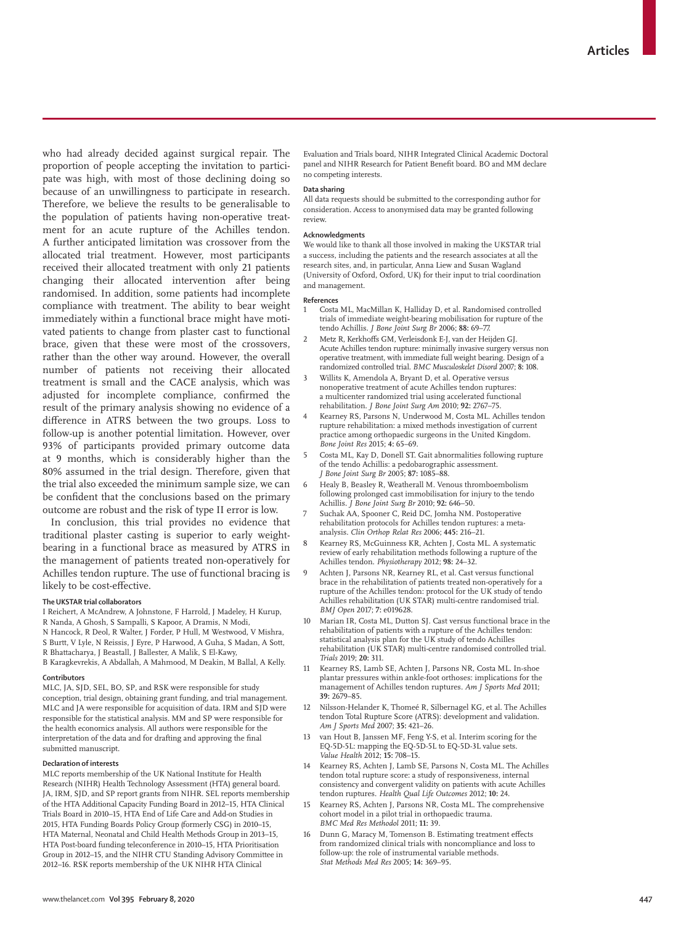who had already decided against surgical repair. The proportion of people accepting the invitation to participate was high, with most of those declining doing so because of an unwillingness to participate in research. Therefore, we believe the results to be generalisable to the population of patients having non-operative treatment for an acute rupture of the Achilles tendon. A further anticipated limitation was crossover from the allocated trial treatment. However, most participants received their allocated treatment with only 21 patients changing their allocated intervention after being randomised. In addition, some patients had incomplete compliance with treatment. The ability to bear weight immediately within a functional brace might have motivated patients to change from plaster cast to functional brace, given that these were most of the crossovers, rather than the other way around. However, the overall number of patients not receiving their allocated treatment is small and the CACE analysis, which was adjusted for incomplete compliance, confirmed the result of the primary analysis showing no evidence of a difference in ATRS between the two groups. Loss to follow-up is another potential limitation. However, over 93% of participants provided primary outcome data at 9 months, which is considerably higher than the 80% assumed in the trial design. Therefore, given that the trial also exceeded the minimum sample size, we can be confident that the conclusions based on the primary outcome are robust and the risk of type II error is low.

In conclusion, this trial provides no evidence that traditional plaster casting is superior to early weightbearing in a functional brace as measured by ATRS in the management of patients treated non-operatively for Achilles tendon rupture. The use of functional bracing is likely to be cost-effective.

#### **The UKSTAR trial collaborators**

I Reichert, A McAndrew, A Johnstone, F Harrold, J Madeley, H Kurup, R Nanda, A Ghosh, S Sampalli, S Kapoor, A Dramis, N Modi, N Hancock, R Deol, R Walter, J Forder, P Hull, M Westwood, V Mishra, S Burtt, V Lyle, N Reissis, J Eyre, P Harwood, A Guha, S Madan, A Sott, R Bhattacharya, J Beastall, J Ballester, A Malik, S El-Kawy,

B Karagkevrekis, A Abdallah, A Mahmood, M Deakin, M Ballal, A Kelly.

# **Contributors**

MLC, JA, SJD, SEL, BO, SP, and RSK were responsible for study conception, trial design, obtaining grant funding, and trial management. MLC and JA were responsible for acquisition of data. IRM and SJD were responsible for the statistical analysis. MM and SP were responsible for the health economics analysis. All authors were responsible for the interpretation of the data and for drafting and approving the final submitted manuscript.

## **Declaration of interests**

MLC reports membership of the UK National Institute for Health Research (NIHR) Health Technology Assessment (HTA) general board. JA, IRM, SJD, and SP report grants from NIHR. SEL reports membership of the HTA Additional Capacity Funding Board in 2012–15, HTA Clinical Trials Board in 2010–15, HTA End of Life Care and Add-on Studies in 2015, HTA Funding Boards Policy Group (formerly CSG) in 2010–15, HTA Maternal, Neonatal and Child Health Methods Group in 2013–15, HTA Post-board funding teleconference in 2010–15, HTA Prioritisation Group in 2012–15, and the NIHR CTU Standing Advisory Committee in 2012–16. RSK reports membership of the UK NIHR HTA Clinical

Evaluation and Trials board, NIHR Integrated Clinical Academic Doctoral panel and NIHR Research for Patient Benefit board. BO and MM declare no competing interests.

# **Data sharing**

All data requests should be submitted to the corresponding author for consideration. Access to anonymised data may be granted following review.

# **Acknowledgments**

We would like to thank all those involved in making the UKSTAR trial a success, including the patients and the research associates at all the research sites, and, in particular, Anna Liew and Susan Wagland (University of Oxford, Oxford, UK) for their input to trial coordination and management.

#### **References**

- 1 Costa ML, MacMillan K, Halliday D, et al. Randomised controlled trials of immediate weight-bearing mobilisation for rupture of the tendo Achillis. *J Bone Joint Surg Br* 2006; **88:** 69–77.
- 2 Metz R, Kerkhoffs GM, Verleisdonk E-J, van der Heijden GJ. Acute Achilles tendon rupture: minimally invasive surgery versus non operative treatment, with immediate full weight bearing. Design of a randomized controlled trial. *BMC Musculoskelet Disord* 2007; **8:** 108.
- 3 Willits K, Amendola A, Bryant D, et al. Operative versus nonoperative treatment of acute Achilles tendon ruptures: a multicenter randomized trial using accelerated functional rehabilitation. *J Bone Joint Surg Am* 2010; **92:** 2767–75.
- 4 Kearney RS, Parsons N, Underwood M, Costa ML. Achilles tendon rupture rehabilitation: a mixed methods investigation of current practice among orthopaedic surgeons in the United Kingdom. *Bone Joint Res* 2015; **4:** 65–69.
- 5 Costa ML, Kay D, Donell ST. Gait abnormalities following rupture of the tendo Achillis: a pedobarographic assessment. *J Bone Joint Surg Br* 2005; **87:** 1085–88.
- Healy B, Beasley R, Weatherall M. Venous thromboembolism following prolonged cast immobilisation for injury to the tendo Achillis. *J Bone Joint Surg Br* 2010; **92:** 646–50.
- 7 Suchak AA, Spooner C, Reid DC, Jomha NM. Postoperative rehabilitation protocols for Achilles tendon ruptures: a metaanalysis. *Clin Orthop Relat Res* 2006; **445:** 216–21.
- 8 Kearney RS, McGuinness KR, Achten J, Costa ML. A systematic review of early rehabilitation methods following a rupture of the Achilles tendon. *Physiotherapy* 2012; **98:** 24–32.
- 9 Achten J, Parsons NR, Kearney RL, et al. Cast versus functional brace in the rehabilitation of patients treated non-operatively for a rupture of the Achilles tendon: protocol for the UK study of tendo Achilles rehabilitation (UK STAR) multi-centre randomised trial. *BMJ Open* 2017; **7:** e019628.
- Marian IR, Costa ML, Dutton SJ. Cast versus functional brace in the rehabilitation of patients with a rupture of the Achilles tendon: statistical analysis plan for the UK study of tendo Achilles rehabilitation (UK STAR) multi-centre randomised controlled trial. *Trials* 2019; **20:** 311.
- 11 Kearney RS, Lamb SE, Achten J, Parsons NR, Costa ML. In-shoe plantar pressures within ankle-foot orthoses: implications for the management of Achilles tendon ruptures. *Am J Sports Med* 2011; **39:** 2679–85.
- 12 Nilsson-Helander K, Thomeé R, Silbernagel KG, et al. The Achilles tendon Total Rupture Score (ATRS): development and validation. *Am J Sports Med* 2007; **35:** 421–26.
- 13 van Hout B, Janssen MF, Feng Y-S, et al. Interim scoring for the EQ-5D-5L: mapping the EQ-5D-5L to EQ-5D-3L value sets. *Value Health* 2012; **15:** 708–15.
- 14 Kearney RS, Achten J, Lamb SE, Parsons N, Costa ML. The Achilles tendon total rupture score: a study of responsiveness, internal consistency and convergent validity on patients with acute Achilles tendon ruptures. *Health Qual Life Outcomes* 2012; **10:** 24.
- Kearney RS, Achten J, Parsons NR, Costa ML. The comprehensive cohort model in a pilot trial in orthopaedic trauma. *BMC Med Res Methodol* 2011; **11:** 39.
- Dunn G, Maracy M, Tomenson B. Estimating treatment effects from randomized clinical trials with noncompliance and loss to follow-up: the role of instrumental variable methods. *Stat Methods Med Res* 2005; **14:** 369–95.